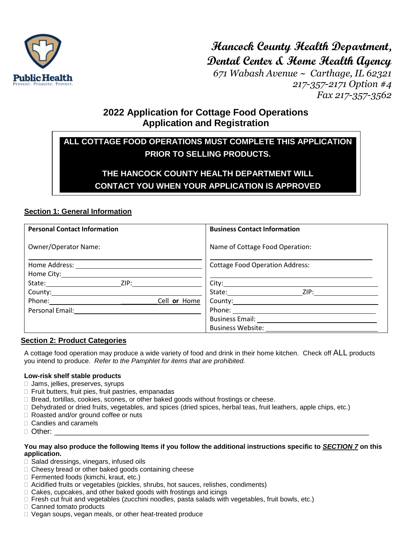

**Hancock County Health Department, Dental Center & Home Health Agency**

*671 Wabash Avenue ~ Carthage, IL 62321 217-357-2171 Option #4 Fax 217-357-3562*

## **2022 Application for Cottage Food Operations Application and Registration**

# **ALL COTTAGE FOOD OPERATIONS MUST COMPLETE THIS APPLICATION PRIOR TO SELLING PRODUCTS.**

# **THE HANCOCK COUNTY HEALTH DEPARTMENT WILL CONTACT YOU WHEN YOUR APPLICATION IS APPROVED**

## **Section 1: General Information**

| <b>Personal Contact Information</b>                   | <b>Business Contact Information</b>                                                                                                                                                                                                  |
|-------------------------------------------------------|--------------------------------------------------------------------------------------------------------------------------------------------------------------------------------------------------------------------------------------|
| <b>Owner/Operator Name:</b>                           | Name of Cottage Food Operation:                                                                                                                                                                                                      |
|                                                       | <b>Cottage Food Operation Address:</b>                                                                                                                                                                                               |
| State: ZIP: 21P:                                      |                                                                                                                                                                                                                                      |
| Phone: <u>________</u><br>Cell or Home                | State: ZIP: ZIP:<br>County: <u>county:</u>                                                                                                                                                                                           |
| Personal Email: <u>______________________________</u> | Phone: <u>Andrea Maria and American and American and American and American and American and American and American and American and American and American and American and American and American and American and American and Am</u> |
|                                                       | Business Website: 2008                                                                                                                                                                                                               |

## **Section 2: Product Categories**

A cottage food operation may produce a wide variety of food and drink in their home kitchen. Check off ALL products you intend to produce. *Refer to the Pamphlet for items that are prohibited.*

## **Low-risk shelf stable products**

- □ Jams, jellies, preserves, syrups
- Fruit butters, fruit pies, fruit pastries, empanadas
- $\Box$  Bread, tortillas, cookies, scones, or other baked goods without frostings or cheese.
- Dehydrated or dried fruits, vegetables, and spices (dried spices, herbal teas, fruit leathers, apple chips, etc.)
- □ Roasted and/or ground coffee or nuts
- □ Candies and caramels
- Other: \_\_\_\_\_\_\_\_\_\_\_\_\_\_\_\_\_\_\_\_\_\_\_\_\_\_\_\_\_\_\_\_\_\_\_\_\_\_\_\_\_\_\_\_\_\_\_\_\_\_\_\_\_\_\_\_\_\_\_\_\_\_\_\_\_\_\_\_\_\_\_\_\_\_\_\_

#### **You may also produce the following Items if you follow the additional instructions specific to** *SECTION 7* **on this application.**

- $\Box$  Salad dressings, vinegars, infused oils
- $\Box$  Cheesy bread or other baked goods containing cheese
- Fermented foods (kimchi, kraut, etc.)
- $\Box$  Acidified fruits or vegetables (pickles, shrubs, hot sauces, relishes, condiments)
- $\Box$  Cakes, cupcakes, and other baked goods with frostings and icings
- □ Fresh cut fruit and vegetables (zucchini noodles, pasta salads with vegetables, fruit bowls, etc.)
- □ Canned tomato products
- D Vegan soups, vegan meals, or other heat-treated produce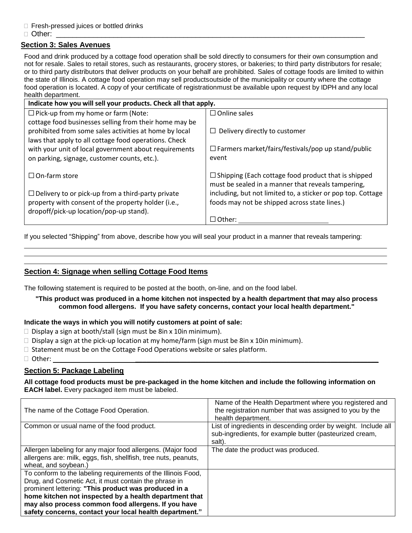- □ Fresh-pressed juices or bottled drinks
- Other: \_\_\_\_\_\_\_\_\_\_\_\_\_\_\_\_\_\_\_\_\_\_\_\_\_\_\_\_\_\_\_\_\_\_\_\_\_\_\_\_\_\_\_\_\_\_\_\_\_\_\_\_\_\_\_\_\_\_\_\_\_\_\_\_\_\_\_\_\_\_\_\_\_\_\_

## **Section 3: Sales Avenues**

Food and drink produced by a cottage food operation shall be sold directly to consumers for their own consumption and not for resale. Sales to retail stores, such as restaurants, grocery stores, or bakeries; to third party distributors for resale; or to third party distributors that deliver products on your behalf are prohibited. Sales of cottage foods are limited to within the state of Illinois. A cottage food operation may sell productsoutside of the municipality or county where the cottage food operation is located. A copy of your certificate of registrationmust be available upon request by IDPH and any local health department.

| Indicate how you will sell your products. Check all that apply. |                                                                                                                  |  |  |
|-----------------------------------------------------------------|------------------------------------------------------------------------------------------------------------------|--|--|
| $\Box$ Pick-up from my home or farm (Note:                      | $\Box$ Online sales                                                                                              |  |  |
| cottage food businesses selling from their home may be          |                                                                                                                  |  |  |
| prohibited from some sales activities at home by local          | $\Box$ Delivery directly to customer                                                                             |  |  |
| laws that apply to all cottage food operations. Check           |                                                                                                                  |  |  |
| with your unit of local government about requirements           | $\Box$ Farmers market/fairs/festivals/pop up stand/public                                                        |  |  |
| on parking, signage, customer counts, etc.).                    | event                                                                                                            |  |  |
| $\Box$ On-farm store                                            | $\Box$ Shipping (Each cottage food product that is shipped<br>must be sealed in a manner that reveals tampering, |  |  |
| $\Box$ Delivery to or pick-up from a third-party private        | including, but not limited to, a sticker or pop top. Cottage                                                     |  |  |
| property with consent of the property holder (i.e.,             | foods may not be shipped across state lines.)                                                                    |  |  |
| dropoff/pick-up location/pop-up stand).                         |                                                                                                                  |  |  |
|                                                                 | $\Box$ Other:                                                                                                    |  |  |

If you selected "Shipping" from above, describe how you will seal your product in a manner that reveals tampering:

## **Section 4: Signage when selling Cottage Food Items**

The following statement is required to be posted at the booth, on-line, and on the food label.

#### **"This product was produced in a home kitchen not inspected by a health department that may also process common food allergens. If you have safety concerns, contact your local health department."**

#### **Indicate the ways in which you will notify customers at point of sale:**

- $\Box$  Display a sign at booth/stall (sign must be 8in x 10in minimum).
- $\Box$  Display a sign at the pick-up location at my home/farm (sign must be 8in x 10in minimum).
- $\Box$  Statement must be on the Cottage Food Operations website or sales platform.
- Other: \_\_\_\_\_\_\_\_\_\_\_\_\_\_\_\_\_\_\_\_\_\_\_\_\_\_\_\_\_\_\_\_\_\_\_\_\_\_\_\_\_\_\_\_\_\_\_\_\_\_\_\_\_\_\_\_\_\_\_\_\_\_\_\_\_\_

## **Section 5: Package Labeling**

#### **All cottage food products must be pre-packaged in the home kitchen and include the following information on EACH label.** Every packaged item must be labeled.

| The name of the Cottage Food Operation.                         | Name of the Health Department where you registered and<br>the registration number that was assigned to you by the<br>health department. |
|-----------------------------------------------------------------|-----------------------------------------------------------------------------------------------------------------------------------------|
| Common or usual name of the food product.                       | List of ingredients in descending order by weight. Include all                                                                          |
|                                                                 | sub-ingredients, for example butter (pasteurized cream,<br>salt).                                                                       |
| Allergen labeling for any major food allergens. (Major food     | The date the product was produced.                                                                                                      |
| allergens are: milk, eggs, fish, shellfish, tree nuts, peanuts, |                                                                                                                                         |
| wheat, and sovbean.)                                            |                                                                                                                                         |
| To conform to the labeling requirements of the Illinois Food,   |                                                                                                                                         |
| Drug, and Cosmetic Act, it must contain the phrase in           |                                                                                                                                         |
| prominent lettering: "This product was produced in a            |                                                                                                                                         |
| home kitchen not inspected by a health department that          |                                                                                                                                         |
| may also process common food allergens. If you have             |                                                                                                                                         |
| safety concerns, contact your local health department."         |                                                                                                                                         |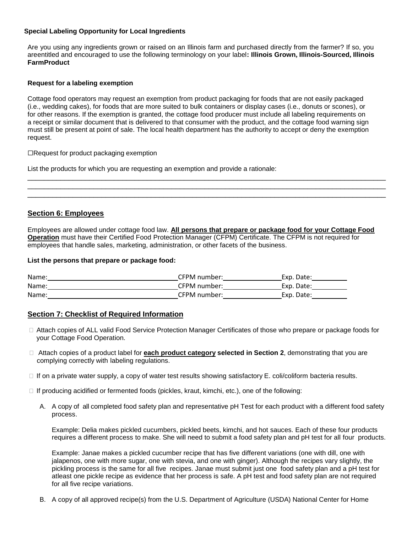### **Special Labeling Opportunity for Local Ingredients**

Are you using any ingredients grown or raised on an Illinois farm and purchased directly from the farmer? If so, you areentitled and encouraged to use the following terminology on your label**: Illinois Grown, Illinois-Sourced, Illinois FarmProduct**

#### **Request for a labeling exemption**

Cottage food operators may request an exemption from product packaging for foods that are not easily packaged (i.e., wedding cakes), for foods that are more suited to bulk containers or display cases (i.e., donuts or scones), or for other reasons. If the exemption is granted, the cottage food producer must include all labeling requirements on a receipt or similar document that is delivered to that consumer with the product, and the cottage food warning sign must still be present at point of sale. The local health department has the authority to accept or deny the exemption request.

#### ⬜Request for product packaging exemption

List the products for which you are requesting an exemption and provide a rationale:

## **Section 6: Employees**

Employees are allowed under cottage food law. **All persons that prepare or package food for your Cottage Food Operation** must have their Certified Food Protection Manager (CFPM) Certificate. The CFPM is not required for employees that handle sales, marketing, administration, or other facets of the business.

\_\_\_\_\_\_\_\_\_\_\_\_\_\_\_\_\_\_\_\_\_\_\_\_\_\_\_\_\_\_\_\_\_\_\_\_\_\_\_\_\_\_\_\_\_\_\_\_\_\_\_\_\_\_\_\_\_\_\_\_\_\_\_\_\_\_\_\_\_\_\_\_\_\_\_\_\_\_\_\_\_\_\_\_\_\_\_ \_\_\_\_\_\_\_\_\_\_\_\_\_\_\_\_\_\_\_\_\_\_\_\_\_\_\_\_\_\_\_\_\_\_\_\_\_\_\_\_\_\_\_\_\_\_\_\_\_\_\_\_\_\_\_\_\_\_\_\_\_\_\_\_\_\_\_\_\_\_\_\_\_\_\_\_\_\_\_\_\_\_\_\_\_\_\_ \_\_\_\_\_\_\_\_\_\_\_\_\_\_\_\_\_\_\_\_\_\_\_\_\_\_\_\_\_\_\_\_\_\_\_\_\_\_\_\_\_\_\_\_\_\_\_\_\_\_\_\_\_\_\_\_\_\_\_\_\_\_\_\_\_\_\_\_\_\_\_\_\_\_\_\_\_\_\_\_\_\_\_\_\_\_\_

#### **List the persons that prepare or package food:**

| Name: | CFPM number: | Exp. Date: |
|-------|--------------|------------|
| Name: | CFPM number: | Exp. Date: |
| Name: | CFPM number: | Exp. Date: |

## **Section 7: Checklist of Required Information**

- Attach copies of ALL valid Food Service Protection Manager Certificates of those who prepare or package foods for your Cottage Food Operation.
- Attach copies of a product label for **each product category selected in Section 2**, demonstrating that you are complying correctly with labeling regulations.
- $\Box$  If on a private water supply, a copy of water test results showing satisfactory E. coli/coliform bacteria results.
- $\Box$  If producing acidified or fermented foods (pickles, kraut, kimchi, etc.), one of the following:
	- A. A copy of all completed food safety plan and representative pH Test for each product with a different food safety process.

Example: Delia makes pickled cucumbers, pickled beets, kimchi, and hot sauces. Each of these four products requires a different process to make. She will need to submit a food safety plan and pH test for all four products.

Example: Janae makes a pickled cucumber recipe that has five different variations (one with dill, one with jalapenos, one with more sugar, one with stevia, and one with ginger). Although the recipes vary slightly, the pickling process is the same for all five recipes. Janae must submit just one food safety plan and a pH test for atleast one pickle recipe as evidence that her process is safe. A pH test and food safety plan are not required for all five recipe variations.

B. A copy of all approved recipe(s) from the U.S. Department of Agriculture (USDA) National Center for Home